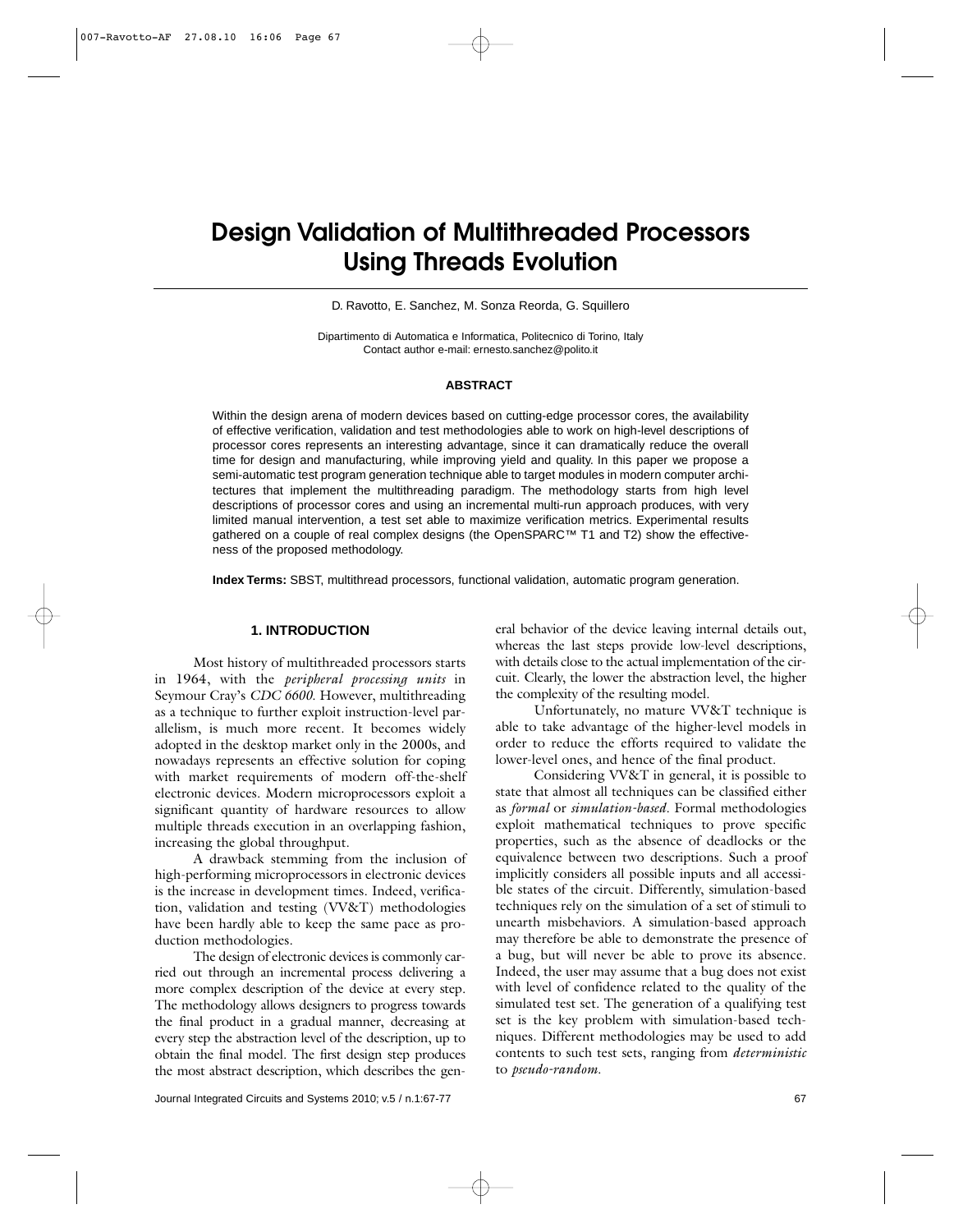# **Design Validation of Multithreaded Processors Using Threads Evolution**

D. Ravotto, E. Sanchez, M. Sonza Reorda, G. Squillero

Dipartimento di Automatica e Informatica, Politecnico di Torino, Italy Contact author e-mail: ernesto.sanchez@polito.it

#### **ABSTRACT**1

Within the design arena of modern devices based on cutting-edge processor cores, the availability of effective verification, validation and test methodologies able to work on high-level descriptions of processor cores represents an interesting advantage, since it can dramatically reduce the overall time for design and manufacturing, while improving yield and quality. In this paper we propose a semi-automatic test program generation technique able to target modules in modern computer architectures that implement the multithreading paradigm. The methodology starts from high level descriptions of processor cores and using an incremental multi-run approach produces, with very limited manual intervention, a test set able to maximize verification metrics. Experimental results gathered on a couple of real complex designs (the OpenSPARC™ T1 and T2) show the effectiveness of the proposed methodology.

**Index Terms:** SBST, multithread processors, functional validation, automatic program generation.

#### **1. INTRODUCTION**

Most history of multithreaded processors starts in 1964, with the *peripheral processing units* in Seymour Cray's *CDC 6600*. However, multithreading as a technique to further exploit instruction-level parallelism, is much more recent. It becomes widely adopted in the desktop market only in the 2000s, and nowadays represents an effective solution for coping with market requirements of modern off-the-shelf electronic devices. Modern microprocessors exploit a significant quantity of hardware resources to allow multiple threads execution in an overlapping fashion, increasing the global throughput.

A drawback stemming from the inclusion of high-performing microprocessors in electronic devices is the increase in development times. Indeed, verification, validation and testing (VV&T) methodologies have been hardly able to keep the same pace as production methodologies.

The design of electronic devices is commonly carried out through an incremental process delivering a more complex description of the device at every step. The methodology allows designers to progress towards the final product in a gradual manner, decreasing at every step the abstraction level of the description, up to obtain the final model. The first design step produces the most abstract description, which describes the gen-

eral behavior of the device leaving internal details out, whereas the last steps provide low-level descriptions, with details close to the actual implementation of the circuit. Clearly, the lower the abstraction level, the higher the complexity of the resulting model.

Unfortunately, no mature VV&T technique is able to take advantage of the higher-level models in order to reduce the efforts required to validate the lower-level ones, and hence of the final product.

Considering VV&T in general, it is possible to state that almost all techniques can be classified either as *formal* or *simulation-based*. Formal methodologies exploit mathematical techniques to prove specific properties, such as the absence of deadlocks or the equivalence between two descriptions. Such a proof implicitly considers all possible inputs and all accessible states of the circuit. Differently, simulation-based techniques rely on the simulation of a set of stimuli to unearth misbehaviors. A simulation-based approach may therefore be able to demonstrate the presence of a bug, but will never be able to prove its absence. Indeed, the user may assume that a bug does not exist with level of confidence related to the quality of the simulated test set. The generation of a qualifying test set is the key problem with simulation-based techniques. Different methodologies may be used to add contents to such test sets, ranging from *deterministic* to *pseudo-random.*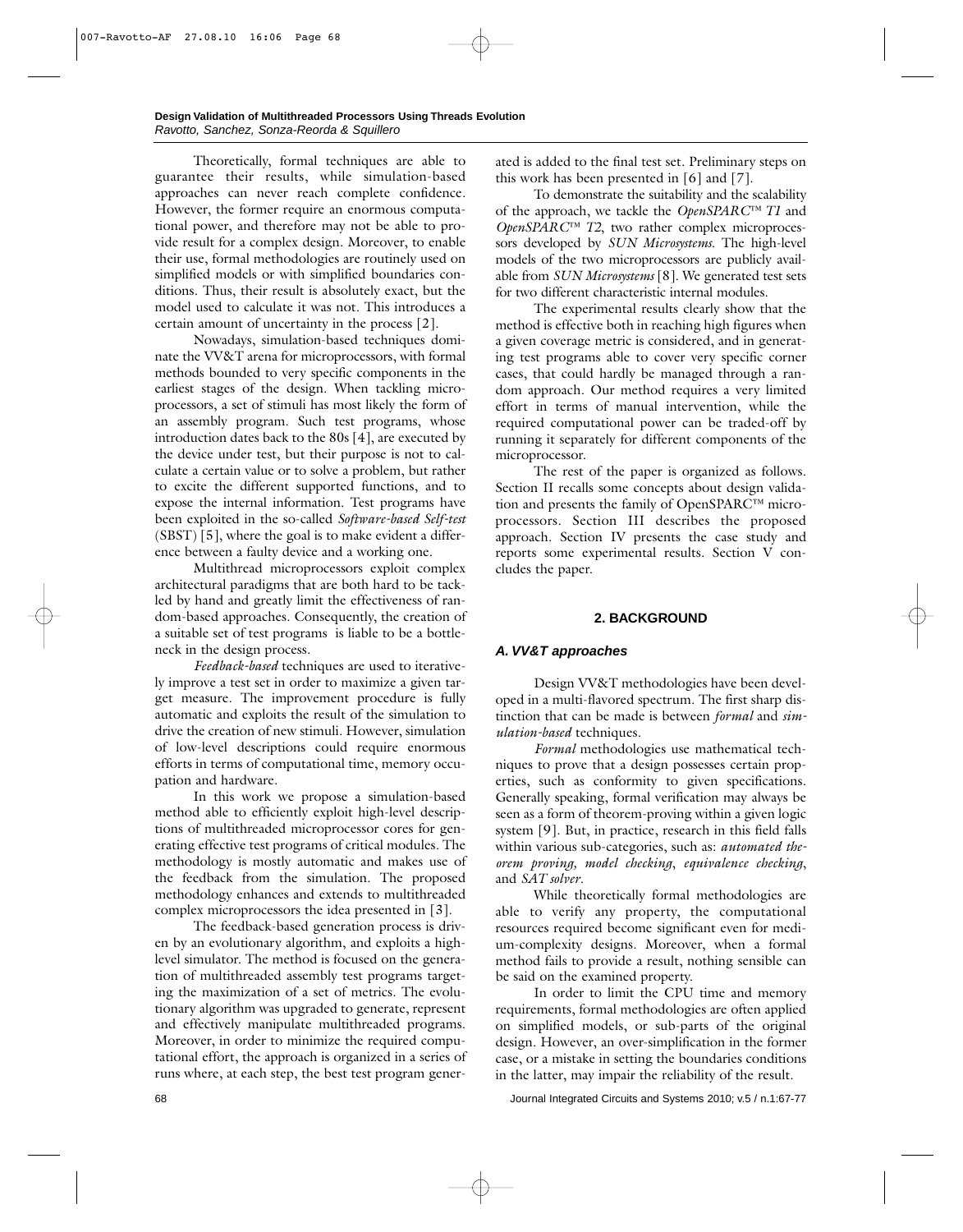Theoretically, formal techniques are able to guarantee their results, while simulation-based approaches can never reach complete confidence. However, the former require an enormous computational power, and therefore may not be able to provide result for a complex design. Moreover, to enable their use, formal methodologies are routinely used on simplified models or with simplified boundaries conditions. Thus, their result is absolutely exact, but the model used to calculate it was not. This introduces a certain amount of uncertainty in the process [2].

Nowadays, simulation-based techniques dominate the VV&T arena for microprocessors, with formal methods bounded to very specific components in the earliest stages of the design. When tackling microprocessors, a set of stimuli has most likely the form of an assembly program. Such test programs, whose introduction dates back to the 80s [4], are executed by the device under test, but their purpose is not to calculate a certain value or to solve a problem, but rather to excite the different supported functions, and to expose the internal information. Test programs have been exploited in the so-called *Software-based Self-test* (SBST) [5], where the goal is to make evident a difference between a faulty device and a working one.

Multithread microprocessors exploit complex architectural paradigms that are both hard to be tackled by hand and greatly limit the effectiveness of random-based approaches. Consequently, the creation of a suitable set of test programs is liable to be a bottleneck in the design process.

*Feedback-based* techniques are used to iteratively improve a test set in order to maximize a given target measure. The improvement procedure is fully automatic and exploits the result of the simulation to drive the creation of new stimuli. However, simulation of low-level descriptions could require enormous efforts in terms of computational time, memory occupation and hardware.

In this work we propose a simulation-based method able to efficiently exploit high-level descriptions of multithreaded microprocessor cores for generating effective test programs of critical modules. The methodology is mostly automatic and makes use of the feedback from the simulation. The proposed methodology enhances and extends to multithreaded complex microprocessors the idea presented in [3].

The feedback-based generation process is driven by an evolutionary algorithm, and exploits a highlevel simulator. The method is focused on the generation of multithreaded assembly test programs targeting the maximization of a set of metrics. The evolutionary algorithm was upgraded to generate, represent and effectively manipulate multithreaded programs. Moreover, in order to minimize the required computational effort, the approach is organized in a series of runs where, at each step, the best test program generated is added to the final test set. Preliminary steps on this work has been presented in [6] and [7].

To demonstrate the suitability and the scalability of the approach, we tackle the *OpenSPARC™ T1* and *OpenSPARC™ T2*, two rather complex microprocessors developed by *SUN Microsystems*. The high-level models of the two microprocessors are publicly available from *SUN Microsystems* [8]. We generated test sets for two different characteristic internal modules.

The experimental results clearly show that the method is effective both in reaching high figures when a given coverage metric is considered, and in generating test programs able to cover very specific corner cases, that could hardly be managed through a random approach. Our method requires a very limited effort in terms of manual intervention, while the required computational power can be traded-off by running it separately for different components of the microprocessor.

The rest of the paper is organized as follows. Section II recalls some concepts about design validation and presents the family of OpenSPARC™ microprocessors. Section III describes the proposed approach. Section IV presents the case study and reports some experimental results. Section V concludes the paper.

# **2. BACKGROUND**

# *A. VV&T approaches*

Design VV&T methodologies have been developed in a multi-flavored spectrum. The first sharp distinction that can be made is between *formal* and *simulation-based* techniques.

*Formal* methodologies use mathematical techniques to prove that a design possesses certain properties, such as conformity to given specifications. Generally speaking, formal verification may always be seen as a form of theorem-proving within a given logic system [9]. But, in practice, research in this field falls within various sub-categories, such as: *automated theorem proving, model checking*, *equivalence checking*, and *SAT solver*.

While theoretically formal methodologies are able to verify any property, the computational resources required become significant even for medium-complexity designs. Moreover, when a formal method fails to provide a result, nothing sensible can be said on the examined property.

In order to limit the CPU time and memory requirements, formal methodologies are often applied on simplified models, or sub-parts of the original design. However, an over-simplification in the former case, or a mistake in setting the boundaries conditions in the latter, may impair the reliability of the result.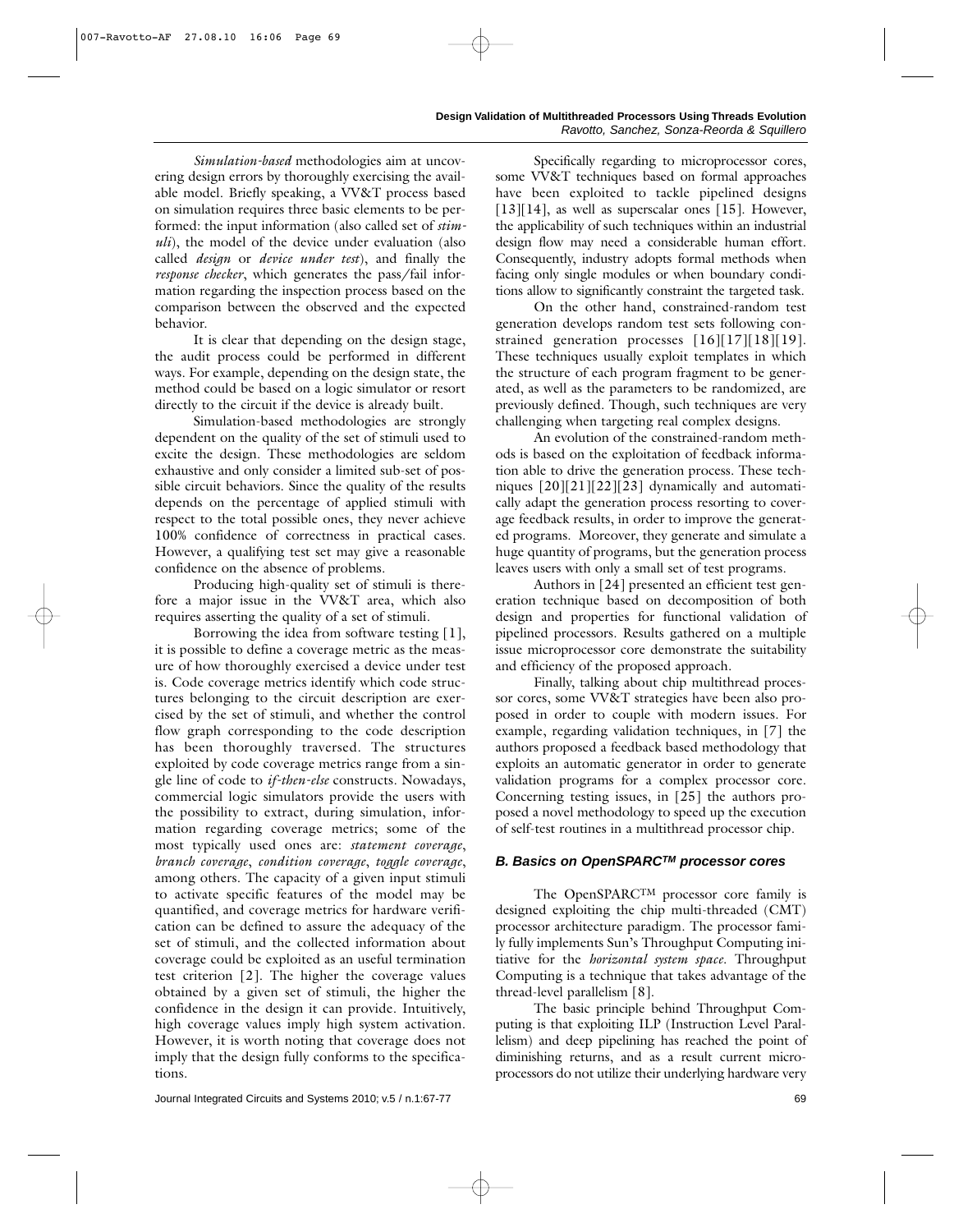*Simulation-based* methodologies aim at uncovering design errors by thoroughly exercising the available model. Briefly speaking, a VV&T process based on simulation requires three basic elements to be performed: the input information (also called set of *stimuli*), the model of the device under evaluation (also called *design* or *device under test*), and finally the *response checker*, which generates the pass/fail information regarding the inspection process based on the comparison between the observed and the expected behavior.

It is clear that depending on the design stage, the audit process could be performed in different ways. For example, depending on the design state, the method could be based on a logic simulator or resort directly to the circuit if the device is already built.

Simulation-based methodologies are strongly dependent on the quality of the set of stimuli used to excite the design. These methodologies are seldom exhaustive and only consider a limited sub-set of possible circuit behaviors. Since the quality of the results depends on the percentage of applied stimuli with respect to the total possible ones, they never achieve 100% confidence of correctness in practical cases. However, a qualifying test set may give a reasonable confidence on the absence of problems.

Producing high-quality set of stimuli is therefore a major issue in the VV&T area, which also requires asserting the quality of a set of stimuli.

Borrowing the idea from software testing [1], it is possible to define a coverage metric as the measure of how thoroughly exercised a device under test is. Code coverage metrics identify which code structures belonging to the circuit description are exercised by the set of stimuli, and whether the control flow graph corresponding to the code description has been thoroughly traversed. The structures exploited by code coverage metrics range from a single line of code to *if-then-else* constructs. Nowadays, commercial logic simulators provide the users with the possibility to extract, during simulation, information regarding coverage metrics; some of the most typically used ones are: *statement coverage*, *branch coverage*, *condition coverage*, *toggle coverage*, among others. The capacity of a given input stimuli to activate specific features of the model may be quantified, and coverage metrics for hardware verification can be defined to assure the adequacy of the set of stimuli, and the collected information about coverage could be exploited as an useful termination test criterion [2]. The higher the coverage values obtained by a given set of stimuli, the higher the confidence in the design it can provide. Intuitively, high coverage values imply high system activation. However, it is worth noting that coverage does not imply that the design fully conforms to the specifications.

Specifically regarding to microprocessor cores, some VV&T techniques based on formal approaches have been exploited to tackle pipelined designs [13][14], as well as superscalar ones [15]. However, the applicability of such techniques within an industrial design flow may need a considerable human effort. Consequently, industry adopts formal methods when facing only single modules or when boundary conditions allow to significantly constraint the targeted task.

On the other hand, constrained-random test generation develops random test sets following constrained generation processes [16][17][18][19]. These techniques usually exploit templates in which the structure of each program fragment to be generated, as well as the parameters to be randomized, are previously defined. Though, such techniques are very challenging when targeting real complex designs.

An evolution of the constrained-random methods is based on the exploitation of feedback information able to drive the generation process. These techniques [20][21][22][23] dynamically and automatically adapt the generation process resorting to coverage feedback results, in order to improve the generated programs. Moreover, they generate and simulate a huge quantity of programs, but the generation process leaves users with only a small set of test programs.

Authors in [24] presented an efficient test generation technique based on decomposition of both design and properties for functional validation of pipelined processors. Results gathered on a multiple issue microprocessor core demonstrate the suitability and efficiency of the proposed approach.

Finally, talking about chip multithread processor cores, some VV&T strategies have been also proposed in order to couple with modern issues. For example, regarding validation techniques, in [7] the authors proposed a feedback based methodology that exploits an automatic generator in order to generate validation programs for a complex processor core. Concerning testing issues, in [25] the authors proposed a novel methodology to speed up the execution of self-test routines in a multithread processor chip.

#### *B. Basics on OpenSPARCTM processor cores*

The OpenSPARCTM processor core family is designed exploiting the chip multi-threaded (CMT) processor architecture paradigm. The processor family fully implements Sun's Throughput Computing initiative for the *horizontal system space*. Throughput Computing is a technique that takes advantage of the thread-level parallelism [8].

The basic principle behind Throughput Computing is that exploiting ILP (Instruction Level Parallelism) and deep pipelining has reached the point of diminishing returns, and as a result current microprocessors do not utilize their underlying hardware very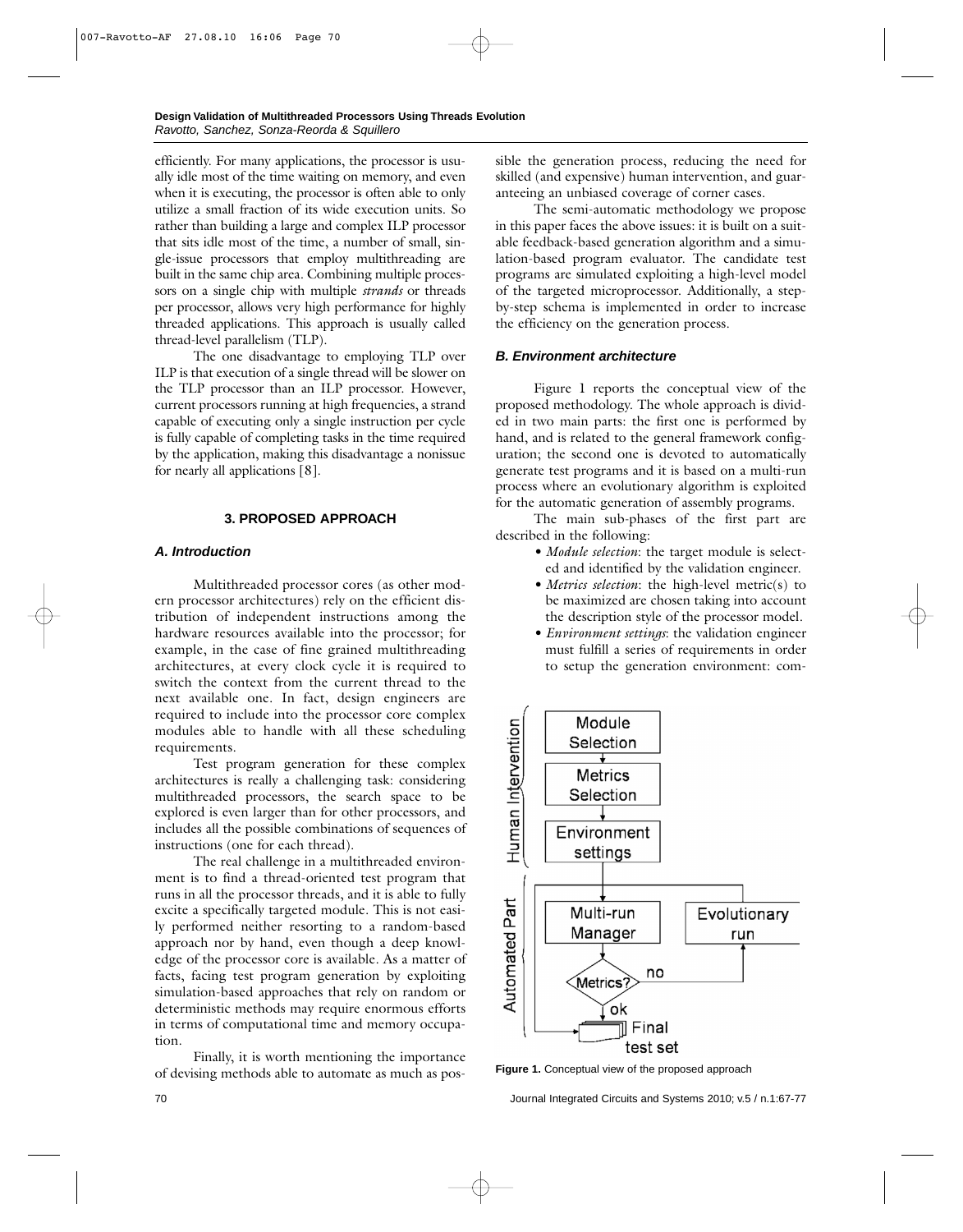efficiently. For many applications, the processor is usually idle most of the time waiting on memory, and even when it is executing, the processor is often able to only utilize a small fraction of its wide execution units. So rather than building a large and complex ILP processor that sits idle most of the time, a number of small, single-issue processors that employ multithreading are built in the same chip area. Combining multiple processors on a single chip with multiple *strands* or threads per processor, allows very high performance for highly threaded applications. This approach is usually called thread-level parallelism (TLP).

The one disadvantage to employing TLP over ILP is that execution of a single thread will be slower on the TLP processor than an ILP processor. However, current processors running at high frequencies, a strand capable of executing only a single instruction per cycle is fully capable of completing tasks in the time required by the application, making this disadvantage a nonissue for nearly all applications [8].

#### **3. PROPOSED APPROACH**

## *A. Introduction*

Multithreaded processor cores (as other modern processor architectures) rely on the efficient distribution of independent instructions among the hardware resources available into the processor; for example, in the case of fine grained multithreading architectures, at every clock cycle it is required to switch the context from the current thread to the next available one. In fact, design engineers are required to include into the processor core complex modules able to handle with all these scheduling requirements.

Test program generation for these complex architectures is really a challenging task: considering multithreaded processors, the search space to be explored is even larger than for other processors, and includes all the possible combinations of sequences of instructions (one for each thread).

The real challenge in a multithreaded environment is to find a thread-oriented test program that runs in all the processor threads, and it is able to fully excite a specifically targeted module. This is not easily performed neither resorting to a random-based approach nor by hand, even though a deep knowledge of the processor core is available. As a matter of facts, facing test program generation by exploiting simulation-based approaches that rely on random or deterministic methods may require enormous efforts in terms of computational time and memory occupation.

Finally, it is worth mentioning the importance of devising methods able to automate as much as possible the generation process, reducing the need for skilled (and expensive) human intervention, and guaranteeing an unbiased coverage of corner cases.

The semi-automatic methodology we propose in this paper faces the above issues: it is built on a suitable feedback-based generation algorithm and a simulation-based program evaluator. The candidate test programs are simulated exploiting a high-level model of the targeted microprocessor. Additionally, a stepby-step schema is implemented in order to increase the efficiency on the generation process.

## *B. Environment architecture*

Figure 1 reports the conceptual view of the proposed methodology. The whole approach is divided in two main parts: the first one is performed by hand, and is related to the general framework configuration; the second one is devoted to automatically generate test programs and it is based on a multi-run process where an evolutionary algorithm is exploited for the automatic generation of assembly programs.

The main sub-phases of the first part are described in the following:

- *• Module selection*: the target module is selected and identified by the validation engineer.
- *• Metrics selection*: the high-level metric(s) to be maximized are chosen taking into account the description style of the processor model.
- *• Environment settings*: the validation engineer must fulfill a series of requirements in order to setup the generation environment: com-



**Figure 1.** Conceptual view of the proposed approach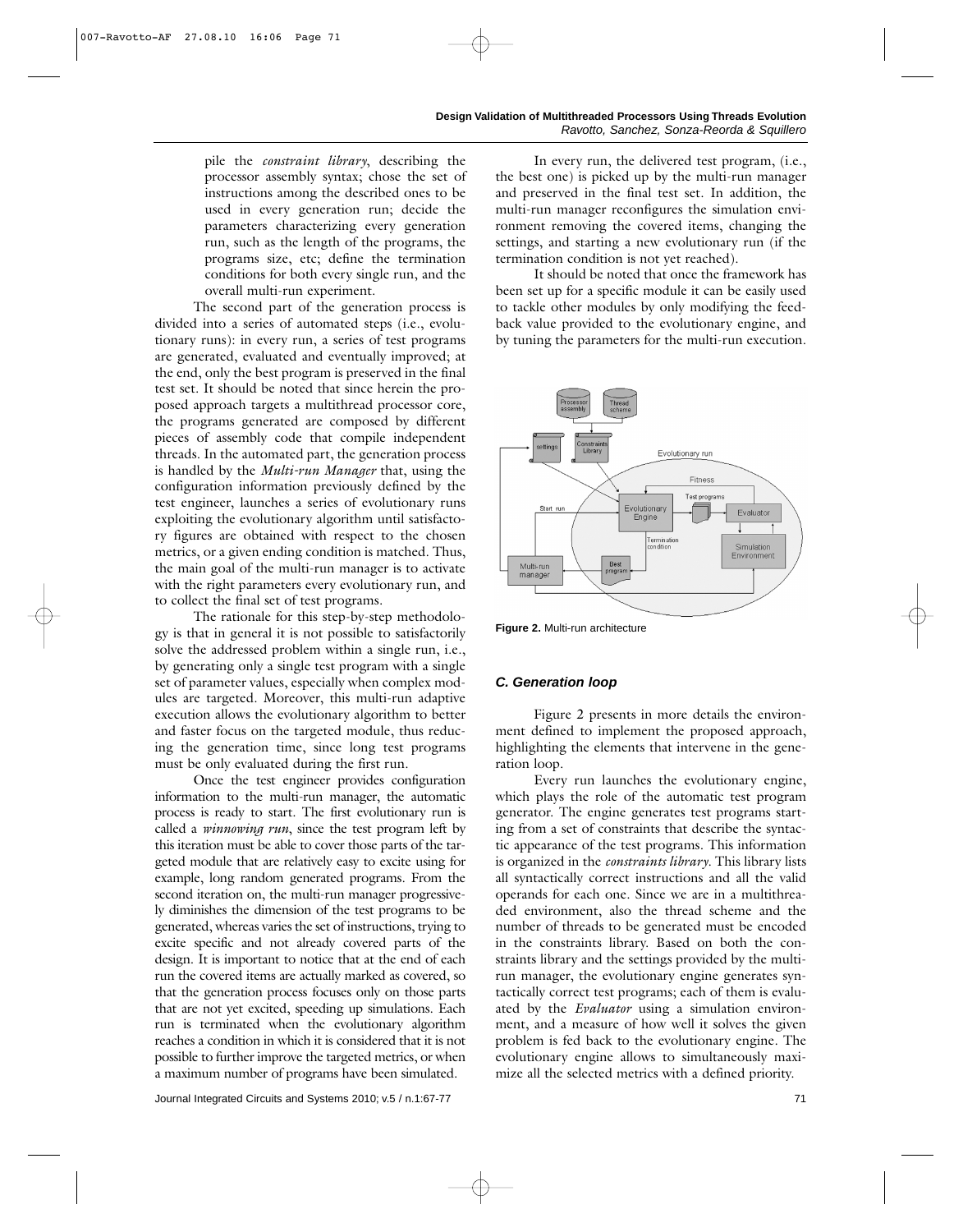pile the *constraint library*, describing the processor assembly syntax; chose the set of instructions among the described ones to be used in every generation run; decide the parameters characterizing every generation run, such as the length of the programs, the programs size, etc; define the termination conditions for both every single run, and the overall multi-run experiment.

The second part of the generation process is divided into a series of automated steps (i.e., evolutionary runs): in every run, a series of test programs are generated, evaluated and eventually improved; at the end, only the best program is preserved in the final test set. It should be noted that since herein the proposed approach targets a multithread processor core, the programs generated are composed by different pieces of assembly code that compile independent threads. In the automated part, the generation process is handled by the *Multi-run Manager* that, using the configuration information previously defined by the test engineer, launches a series of evolutionary runs exploiting the evolutionary algorithm until satisfactory figures are obtained with respect to the chosen metrics, or a given ending condition is matched. Thus, the main goal of the multi-run manager is to activate with the right parameters every evolutionary run, and to collect the final set of test programs.

The rationale for this step-by-step methodology is that in general it is not possible to satisfactorily solve the addressed problem within a single run, i.e., by generating only a single test program with a single set of parameter values, especially when complex modules are targeted. Moreover, this multi-run adaptive execution allows the evolutionary algorithm to better and faster focus on the targeted module, thus reducing the generation time, since long test programs must be only evaluated during the first run.

Once the test engineer provides configuration information to the multi-run manager, the automatic process is ready to start. The first evolutionary run is called a *winnowing run*, since the test program left by this iteration must be able to cover those parts of the targeted module that are relatively easy to excite using for example, long random generated programs. From the second iteration on, the multi-run manager progressively diminishes the dimension of the test programs to be generated, whereas varies the set of instructions, trying to excite specific and not already covered parts of the design. It is important to notice that at the end of each run the covered items are actually marked as covered, so that the generation process focuses only on those parts that are not yet excited, speeding up simulations. Each run is terminated when the evolutionary algorithm reaches a condition in which it is considered that it is not possible to further improve the targeted metrics, or when a maximum number of programs have been simulated.

In every run, the delivered test program, (i.e., the best one) is picked up by the multi-run manager and preserved in the final test set. In addition, the multi-run manager reconfigures the simulation environment removing the covered items, changing the settings, and starting a new evolutionary run (if the termination condition is not yet reached).

It should be noted that once the framework has been set up for a specific module it can be easily used to tackle other modules by only modifying the feedback value provided to the evolutionary engine, and by tuning the parameters for the multi-run execution.



**Figure 2.** Multi-run architecture

#### *C. Generation loop*

Figure 2 presents in more details the environment defined to implement the proposed approach, highlighting the elements that intervene in the generation loop.

Every run launches the evolutionary engine, which plays the role of the automatic test program generator. The engine generates test programs starting from a set of constraints that describe the syntactic appearance of the test programs. This information is organized in the *constraints library*. This library lists all syntactically correct instructions and all the valid operands for each one. Since we are in a multithreaded environment, also the thread scheme and the number of threads to be generated must be encoded in the constraints library. Based on both the constraints library and the settings provided by the multirun manager, the evolutionary engine generates syntactically correct test programs; each of them is evaluated by the *Evaluator* using a simulation environment, and a measure of how well it solves the given problem is fed back to the evolutionary engine. The evolutionary engine allows to simultaneously maximize all the selected metrics with a defined priority.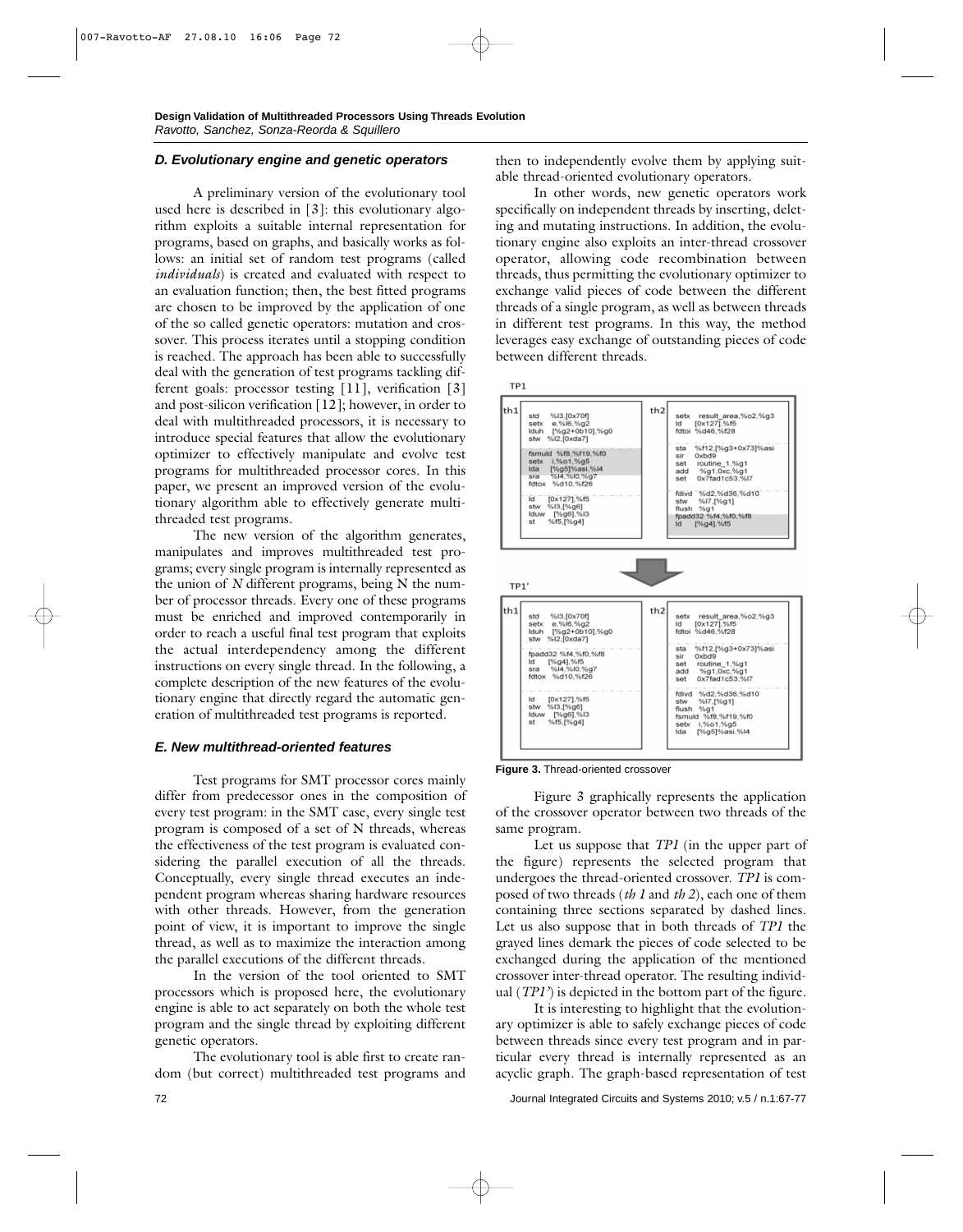#### *D. Evolutionary engine and genetic operators*

A preliminary version of the evolutionary tool used here is described in [3]: this evolutionary algorithm exploits a suitable internal representation for programs, based on graphs, and basically works as follows: an initial set of random test programs (called *individuals*) is created and evaluated with respect to an evaluation function; then, the best fitted programs are chosen to be improved by the application of one of the so called genetic operators: mutation and crossover. This process iterates until a stopping condition is reached. The approach has been able to successfully deal with the generation of test programs tackling different goals: processor testing [11], verification [3] and post-silicon verification [12]; however, in order to deal with multithreaded processors, it is necessary to introduce special features that allow the evolutionary optimizer to effectively manipulate and evolve test programs for multithreaded processor cores. In this paper, we present an improved version of the evolutionary algorithm able to effectively generate multithreaded test programs.

The new version of the algorithm generates, manipulates and improves multithreaded test programs; every single program is internally represented as the union of *N* different programs, being N the number of processor threads. Every one of these programs must be enriched and improved contemporarily in order to reach a useful final test program that exploits the actual interdependency among the different instructions on every single thread. In the following, a complete description of the new features of the evolutionary engine that directly regard the automatic generation of multithreaded test programs is reported.

#### *E. New multithread-oriented features*

Test programs for SMT processor cores mainly differ from predecessor ones in the composition of every test program: in the SMT case, every single test program is composed of a set of N threads, whereas the effectiveness of the test program is evaluated considering the parallel execution of all the threads. Conceptually, every single thread executes an independent program whereas sharing hardware resources with other threads. However, from the generation point of view, it is important to improve the single thread, as well as to maximize the interaction among the parallel executions of the different threads.

In the version of the tool oriented to SMT processors which is proposed here, the evolutionary engine is able to act separately on both the whole test program and the single thread by exploiting different genetic operators.

The evolutionary tool is able first to create random (but correct) multithreaded test programs and then to independently evolve them by applying suitable thread-oriented evolutionary operators.

In other words, new genetic operators work specifically on independent threads by inserting, deleting and mutating instructions. In addition, the evolutionary engine also exploits an inter-thread crossover operator, allowing code recombination between threads, thus permitting the evolutionary optimizer to exchange valid pieces of code between the different threads of a single program, as well as between threads in different test programs. In this way, the method leverages easy exchange of outstanding pieces of code between different threads.



**Figure 3.** Thread-oriented crossover

Figure 3 graphically represents the application of the crossover operator between two threads of the same program.

Let us suppose that *TP1* (in the upper part of the figure) represents the selected program that undergoes the thread-oriented crossover. *TP1* is composed of two threads (*th 1* and *th 2*), each one of them containing three sections separated by dashed lines. Let us also suppose that in both threads of *TP1* the grayed lines demark the pieces of code selected to be exchanged during the application of the mentioned crossover inter-thread operator. The resulting individual (*TP1'*) is depicted in the bottom part of the figure.

It is interesting to highlight that the evolutionary optimizer is able to safely exchange pieces of code between threads since every test program and in particular every thread is internally represented as an acyclic graph. The graph-based representation of test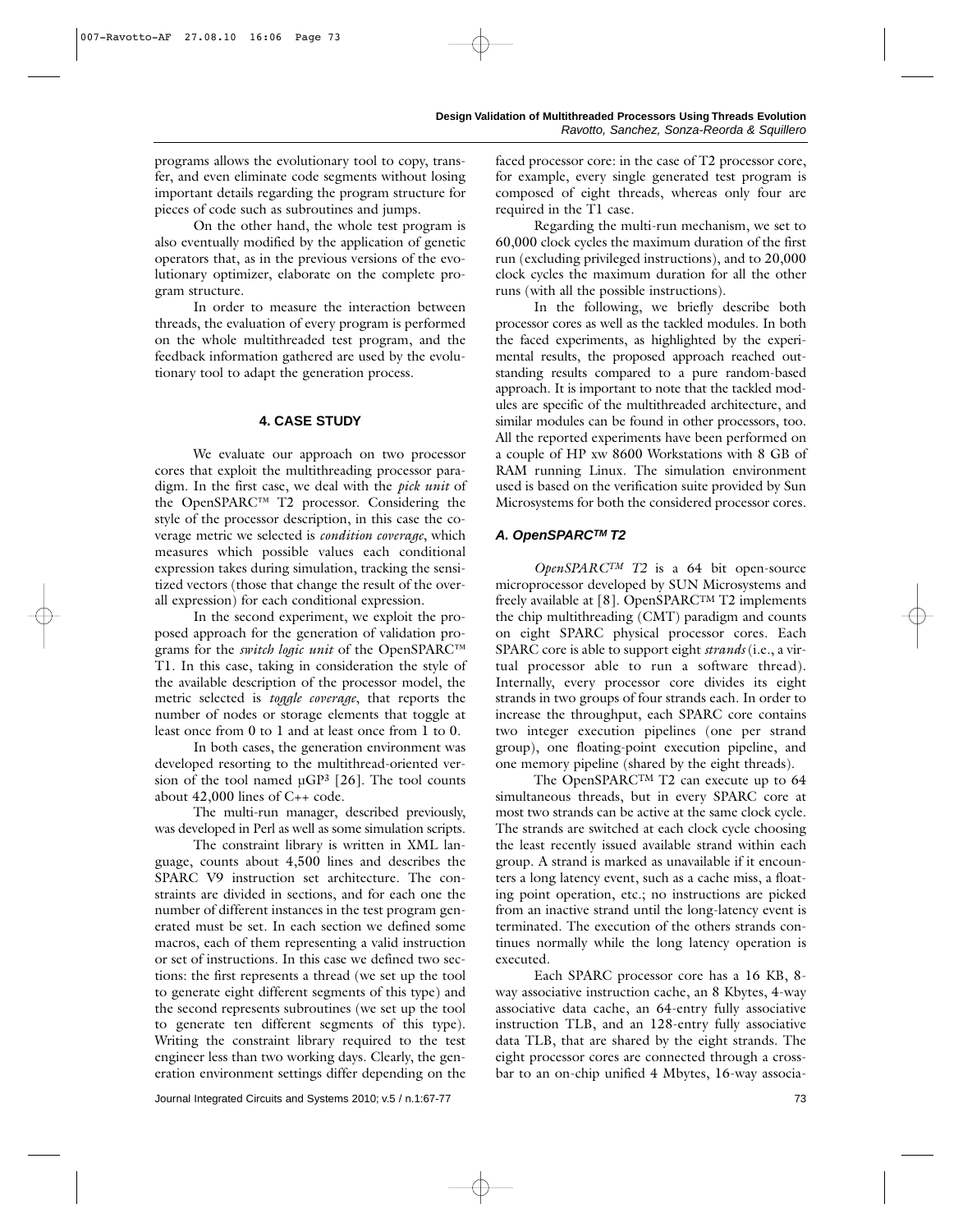programs allows the evolutionary tool to copy, transfer, and even eliminate code segments without losing important details regarding the program structure for pieces of code such as subroutines and jumps.

On the other hand, the whole test program is also eventually modified by the application of genetic operators that, as in the previous versions of the evolutionary optimizer, elaborate on the complete program structure.

In order to measure the interaction between threads, the evaluation of every program is performed on the whole multithreaded test program, and the feedback information gathered are used by the evolutionary tool to adapt the generation process.

#### **4. CASE STUDY**

We evaluate our approach on two processor cores that exploit the multithreading processor paradigm. In the first case, we deal with the *pick unit* of the OpenSPARC™ T2 processor. Considering the style of the processor description, in this case the coverage metric we selected is *condition coverage*, which measures which possible values each conditional expression takes during simulation, tracking the sensitized vectors (those that change the result of the overall expression) for each conditional expression.

In the second experiment, we exploit the proposed approach for the generation of validation programs for the *switch logic unit* of the OpenSPARC<sup>™</sup> T1. In this case, taking in consideration the style of the available description of the processor model, the metric selected is *toggle coverage*, that reports the number of nodes or storage elements that toggle at least once from 0 to 1 and at least once from 1 to 0.

In both cases, the generation environment was developed resorting to the multithread-oriented version of the tool named  $\mu$ GP<sup>3</sup> [26]. The tool counts about  $42,000$  lines of  $C_{++}$  code.

The multi-run manager, described previously, was developed in Perl as well as some simulation scripts.

The constraint library is written in XML language, counts about 4,500 lines and describes the SPARC V9 instruction set architecture. The constraints are divided in sections, and for each one the number of different instances in the test program generated must be set. In each section we defined some macros, each of them representing a valid instruction or set of instructions. In this case we defined two sections: the first represents a thread (we set up the tool to generate eight different segments of this type) and the second represents subroutines (we set up the tool to generate ten different segments of this type). Writing the constraint library required to the test engineer less than two working days. Clearly, the generation environment settings differ depending on the faced processor core: in the case of T2 processor core, for example, every single generated test program is composed of eight threads, whereas only four are required in the T1 case.

Regarding the multi-run mechanism, we set to 60,000 clock cycles the maximum duration of the first run (excluding privileged instructions), and to 20,000 clock cycles the maximum duration for all the other runs (with all the possible instructions).

In the following, we briefly describe both processor cores as well as the tackled modules. In both the faced experiments, as highlighted by the experimental results, the proposed approach reached outstanding results compared to a pure random-based approach. It is important to note that the tackled modules are specific of the multithreaded architecture, and similar modules can be found in other processors, too. All the reported experiments have been performed on a couple of HP xw 8600 Workstations with 8 GB of RAM running Linux. The simulation environment used is based on the verification suite provided by Sun Microsystems for both the considered processor cores.

## *A. OpenSPARCTM T2*

*OpenSPARCTM T2* is a 64 bit open-source microprocessor developed by SUN Microsystems and freely available at [8]. OpenSPARCTM T2 implements the chip multithreading (CMT) paradigm and counts on eight SPARC physical processor cores. Each SPARC core is able to support eight *strands* (i.e., a virtual processor able to run a software thread). Internally, every processor core divides its eight strands in two groups of four strands each. In order to increase the throughput, each SPARC core contains two integer execution pipelines (one per strand group), one floating-point execution pipeline, and one memory pipeline (shared by the eight threads).

The OpenSPARC<sup>TM</sup> T2 can execute up to 64 simultaneous threads, but in every SPARC core at most two strands can be active at the same clock cycle. The strands are switched at each clock cycle choosing the least recently issued available strand within each group. A strand is marked as unavailable if it encounters a long latency event, such as a cache miss, a floating point operation, etc.; no instructions are picked from an inactive strand until the long-latency event is terminated. The execution of the others strands continues normally while the long latency operation is executed.

Each SPARC processor core has a 16 KB, 8 way associative instruction cache, an 8 Kbytes, 4-way associative data cache, an 64-entry fully associative instruction TLB, and an 128-entry fully associative data TLB, that are shared by the eight strands. The eight processor cores are connected through a crossbar to an on-chip unified 4 Mbytes, 16-way associa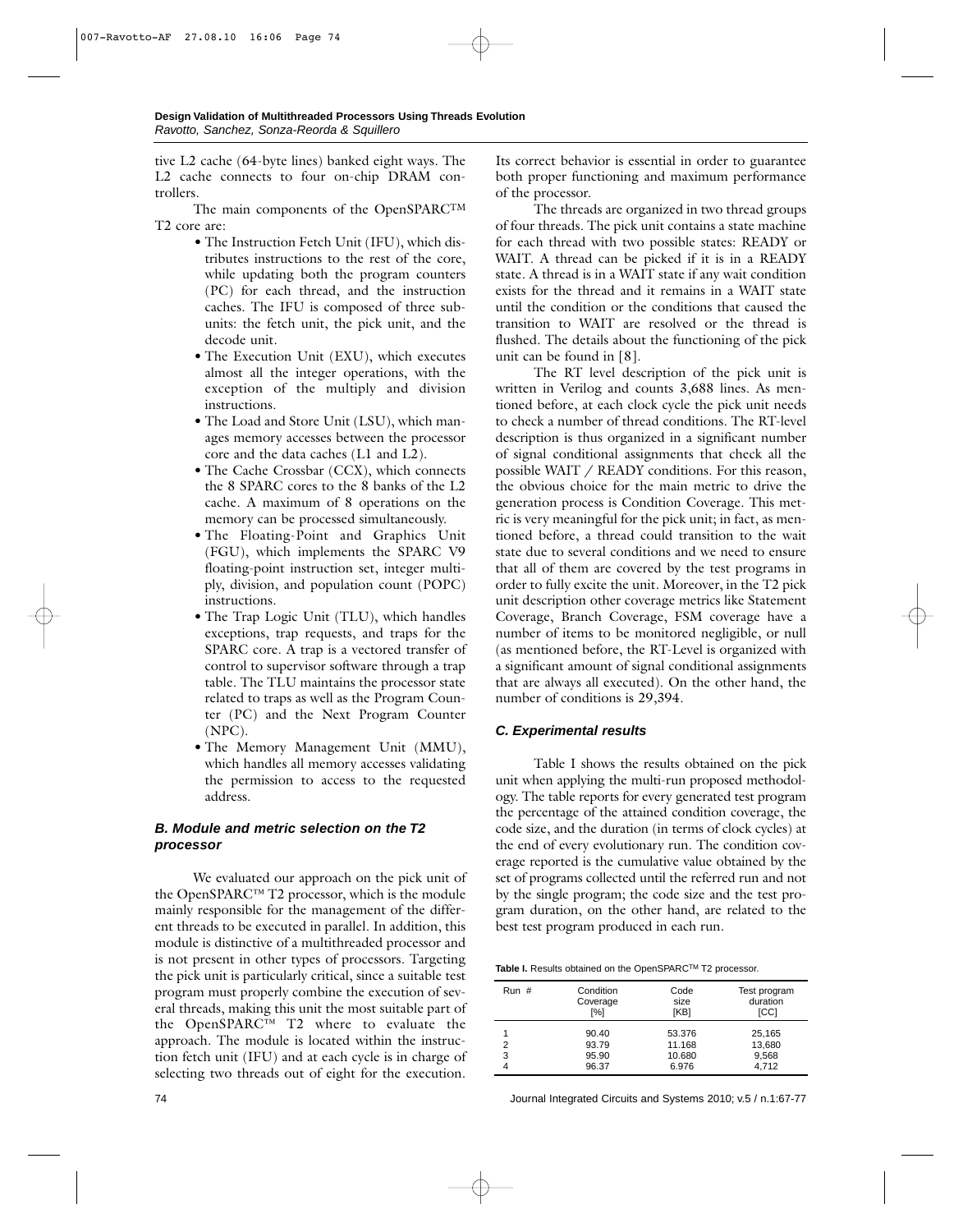tive L2 cache (64-byte lines) banked eight ways. The L2 cache connects to four on-chip DRAM controllers.

The main components of the OpenSPARCTM T2 core are:

- *•* The Instruction Fetch Unit (IFU), which distributes instructions to the rest of the core, while updating both the program counters (PC) for each thread, and the instruction caches. The IFU is composed of three subunits: the fetch unit, the pick unit, and the decode unit.
- *•* The Execution Unit (EXU), which executes almost all the integer operations, with the exception of the multiply and division instructions.
- *•* The Load and Store Unit (LSU), which manages memory accesses between the processor core and the data caches (L1 and L2).
- *•* The Cache Crossbar (CCX), which connects the 8 SPARC cores to the 8 banks of the L2 cache. A maximum of 8 operations on the memory can be processed simultaneously.
- *•* The Floating-Point and Graphics Unit (FGU), which implements the SPARC V9 floating-point instruction set, integer multiply, division, and population count (POPC) instructions.
- *•* The Trap Logic Unit (TLU), which handles exceptions, trap requests, and traps for the SPARC core. A trap is a vectored transfer of control to supervisor software through a trap table. The TLU maintains the processor state related to traps as well as the Program Counter (PC) and the Next Program Counter (NPC).
- The Memory Management Unit (MMU), which handles all memory accesses validating the permission to access to the requested address.

# *B. Module and metric selection on the T2 processor*

We evaluated our approach on the pick unit of the OpenSPARC™ T2 processor, which is the module mainly responsible for the management of the different threads to be executed in parallel. In addition, this module is distinctive of a multithreaded processor and is not present in other types of processors. Targeting the pick unit is particularly critical, since a suitable test program must properly combine the execution of several threads, making this unit the most suitable part of the OpenSPARC™ T2 where to evaluate the approach. The module is located within the instruction fetch unit (IFU) and at each cycle is in charge of selecting two threads out of eight for the execution.

Its correct behavior is essential in order to guarantee both proper functioning and maximum performance of the processor.

The threads are organized in two thread groups of four threads. The pick unit contains a state machine for each thread with two possible states: READY or WAIT. A thread can be picked if it is in a READY state. A thread is in a WAIT state if any wait condition exists for the thread and it remains in a WAIT state until the condition or the conditions that caused the transition to WAIT are resolved or the thread is flushed. The details about the functioning of the pick unit can be found in [8].

The RT level description of the pick unit is written in Verilog and counts 3,688 lines. As mentioned before, at each clock cycle the pick unit needs to check a number of thread conditions. The RT-level description is thus organized in a significant number of signal conditional assignments that check all the possible WAIT / READY conditions. For this reason, the obvious choice for the main metric to drive the generation process is Condition Coverage. This metric is very meaningful for the pick unit; in fact, as mentioned before, a thread could transition to the wait state due to several conditions and we need to ensure that all of them are covered by the test programs in order to fully excite the unit. Moreover, in the T2 pick unit description other coverage metrics like Statement Coverage, Branch Coverage, FSM coverage have a number of items to be monitored negligible, or null (as mentioned before, the RT-Level is organized with a significant amount of signal conditional assignments that are always all executed). On the other hand, the number of conditions is 29,394.

# *C. Experimental results*

Table I shows the results obtained on the pick unit when applying the multi-run proposed methodology. The table reports for every generated test program the percentage of the attained condition coverage, the code size, and the duration (in terms of clock cycles) at the end of every evolutionary run. The condition coverage reported is the cumulative value obtained by the set of programs collected until the referred run and not by the single program; the code size and the test program duration, on the other hand, are related to the best test program produced in each run.

**Table I.** Results obtained on the OpenSPARCTM T2 processor.

| Run #  | Condition<br>Coverage<br>[%]     | Code<br>size<br>[KB]                | Test program<br>duration<br><b>ICCI</b> |
|--------|----------------------------------|-------------------------------------|-----------------------------------------|
| 2<br>3 | 90.40<br>93.79<br>95.90<br>96.37 | 53.376<br>11.168<br>10.680<br>6.976 | 25,165<br>13,680<br>9,568<br>4.712      |

74 Journal Integrated Circuits and Systems 2010; v.5 / n.1:67-77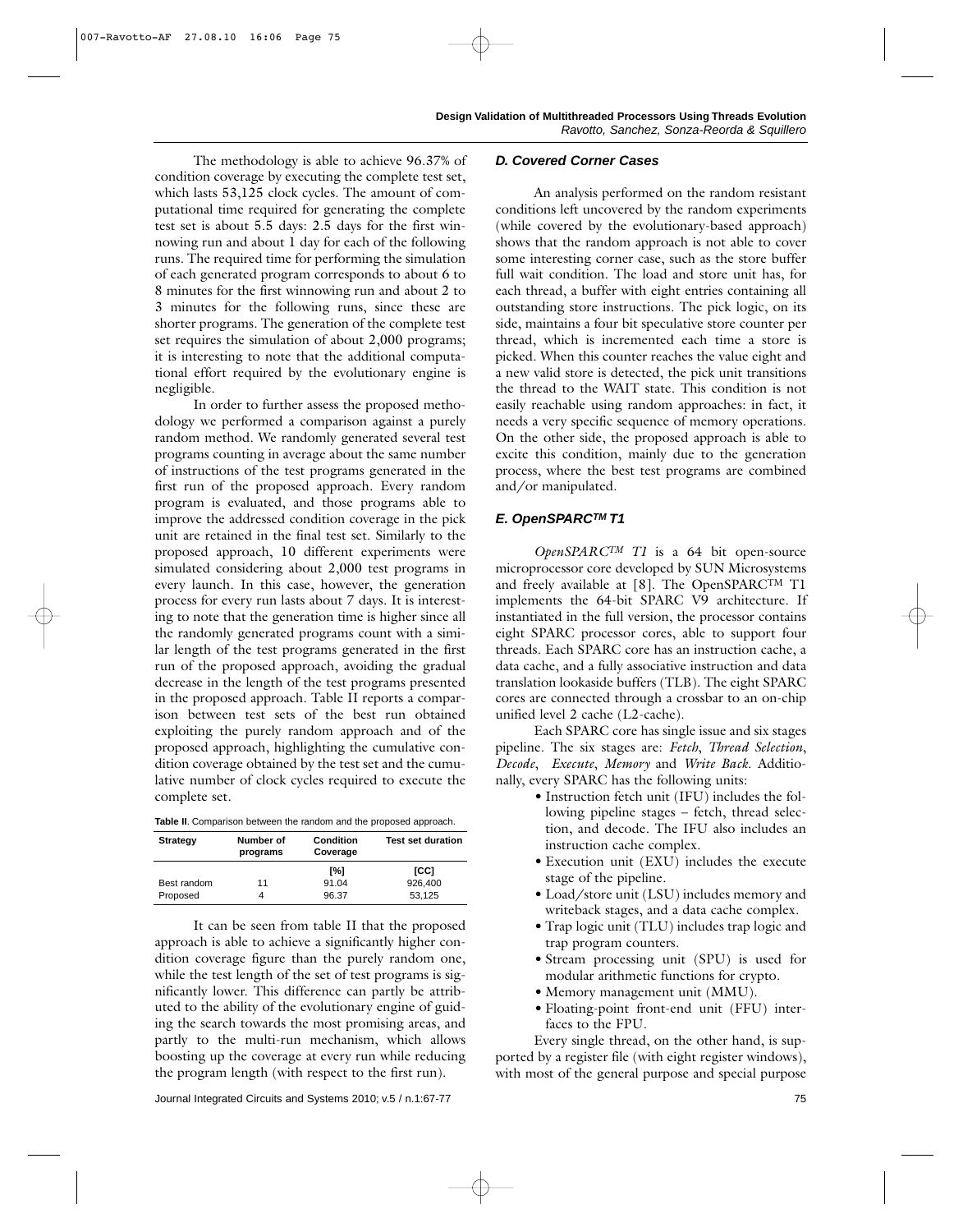The methodology is able to achieve 96.37% of condition coverage by executing the complete test set, which lasts 53,125 clock cycles. The amount of computational time required for generating the complete test set is about 5.5 days: 2.5 days for the first winnowing run and about 1 day for each of the following runs. The required time for performing the simulation of each generated program corresponds to about 6 to 8 minutes for the first winnowing run and about 2 to 3 minutes for the following runs, since these are shorter programs. The generation of the complete test set requires the simulation of about 2,000 programs; it is interesting to note that the additional computational effort required by the evolutionary engine is negligible.

In order to further assess the proposed methodology we performed a comparison against a purely random method. We randomly generated several test programs counting in average about the same number of instructions of the test programs generated in the first run of the proposed approach. Every random program is evaluated, and those programs able to improve the addressed condition coverage in the pick unit are retained in the final test set. Similarly to the proposed approach, 10 different experiments were simulated considering about 2,000 test programs in every launch. In this case, however, the generation process for every run lasts about 7 days. It is interesting to note that the generation time is higher since all the randomly generated programs count with a similar length of the test programs generated in the first run of the proposed approach, avoiding the gradual decrease in the length of the test programs presented in the proposed approach. Table II reports a comparison between test sets of the best run obtained exploiting the purely random approach and of the proposed approach, highlighting the cumulative condition coverage obtained by the test set and the cumulative number of clock cycles required to execute the complete set.

**Table II**. Comparison between the random and the proposed approach.

| <b>Strategy</b> | Number of<br>programs | Condition<br>Coverage | <b>Test set duration</b> |
|-----------------|-----------------------|-----------------------|--------------------------|
|                 |                       | [%]                   | ICCI                     |
| Best random     | 11                    | 91.04                 | 926.400                  |
| Proposed        |                       | 96.37                 | 53,125                   |

It can be seen from table II that the proposed approach is able to achieve a significantly higher condition coverage figure than the purely random one, while the test length of the set of test programs is significantly lower. This difference can partly be attributed to the ability of the evolutionary engine of guiding the search towards the most promising areas, and partly to the multi-run mechanism, which allows boosting up the coverage at every run while reducing the program length (with respect to the first run).

#### *D. Covered Corner Cases*

An analysis performed on the random resistant conditions left uncovered by the random experiments (while covered by the evolutionary-based approach) shows that the random approach is not able to cover some interesting corner case, such as the store buffer full wait condition. The load and store unit has, for each thread, a buffer with eight entries containing all outstanding store instructions. The pick logic, on its side, maintains a four bit speculative store counter per thread, which is incremented each time a store is picked. When this counter reaches the value eight and a new valid store is detected, the pick unit transitions the thread to the WAIT state. This condition is not easily reachable using random approaches: in fact, it needs a very specific sequence of memory operations. On the other side, the proposed approach is able to excite this condition, mainly due to the generation process, where the best test programs are combined and/or manipulated.

#### *E. OpenSPARCTM T1*

*OpenSPARCTM T1* is a 64 bit open-source microprocessor core developed by SUN Microsystems and freely available at [8]. The OpenSPARCTM T1 implements the 64-bit SPARC V9 architecture. If instantiated in the full version, the processor contains eight SPARC processor cores, able to support four threads. Each SPARC core has an instruction cache, a data cache, and a fully associative instruction and data translation lookaside buffers (TLB). The eight SPARC cores are connected through a crossbar to an on-chip unified level 2 cache (L2-cache).

Each SPARC core has single issue and six stages pipeline. The six stages are: *Fetch*, *Thread Selection*, *Decode*, *Execute*, *Memory* and *Write Back*. Additionally, every SPARC has the following units:

- *•* Instruction fetch unit (IFU) includes the following pipeline stages – fetch, thread selection, and decode. The IFU also includes an instruction cache complex.
- *•* Execution unit (EXU) includes the execute stage of the pipeline.
- *•* Load/store unit (LSU) includes memory and writeback stages, and a data cache complex.
- *•* Trap logic unit (TLU) includes trap logic and trap program counters.
- *•* Stream processing unit (SPU) is used for modular arithmetic functions for crypto.
- *•* Memory management unit (MMU).
- *•* Floating-point front-end unit (FFU) interfaces to the FPU.

Every single thread, on the other hand, is supported by a register file (with eight register windows), with most of the general purpose and special purpose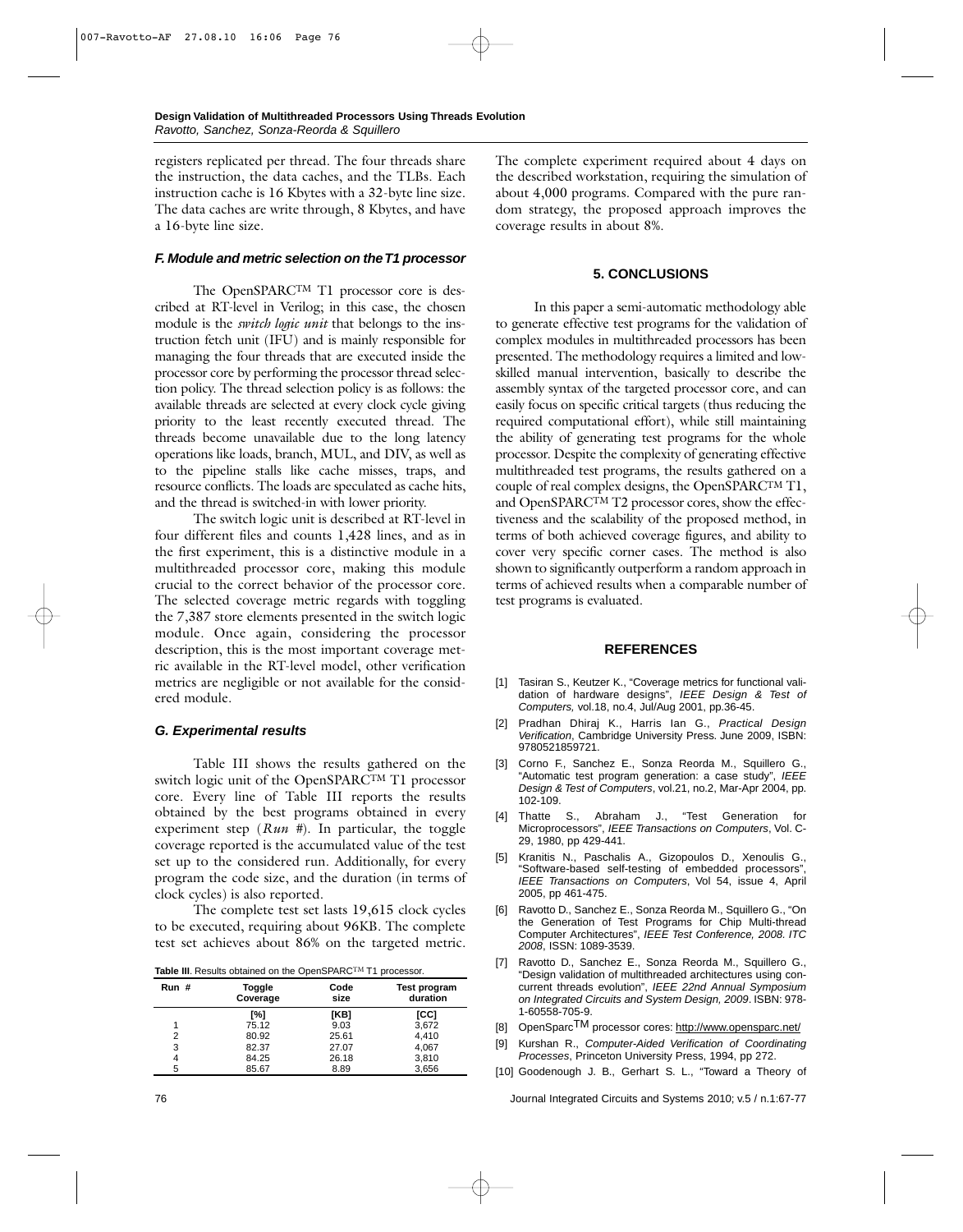registers replicated per thread. The four threads share the instruction, the data caches, and the TLBs. Each instruction cache is 16 Kbytes with a 32-byte line size. The data caches are write through, 8 Kbytes, and have a 16-byte line size.

#### *F. Module and metric selection on the T1 processor*

The OpenSPARCTM T1 processor core is described at RT-level in Verilog; in this case, the chosen module is the *switch logic unit* that belongs to the instruction fetch unit (IFU) and is mainly responsible for managing the four threads that are executed inside the processor core by performing the processor thread selection policy. The thread selection policy is as follows: the available threads are selected at every clock cycle giving priority to the least recently executed thread. The threads become unavailable due to the long latency operations like loads, branch, MUL, and DIV, as well as to the pipeline stalls like cache misses, traps, and resource conflicts. The loads are speculated as cache hits, and the thread is switched-in with lower priority.

The switch logic unit is described at RT-level in four different files and counts 1,428 lines, and as in the first experiment, this is a distinctive module in a multithreaded processor core, making this module crucial to the correct behavior of the processor core. The selected coverage metric regards with toggling the 7,387 store elements presented in the switch logic module. Once again, considering the processor description, this is the most important coverage metric available in the RT-level model, other verification metrics are negligible or not available for the considered module.

# *G. Experimental results*

Table III shows the results gathered on the switch logic unit of the OpenSPARCTM T1 processor core. Every line of Table III reports the results obtained by the best programs obtained in every experiment step (*Run #*). In particular, the toggle coverage reported is the accumulated value of the test set up to the considered run. Additionally, for every program the code size, and the duration (in terms of clock cycles) is also reported.

The complete test set lasts 19,615 clock cycles to be executed, requiring about 96KB. The complete test set achieves about 86% on the targeted metric.

Table III. Results obtained on the OpenSPARC<sup>TM</sup> T1 processor.

| Run# | Toggle<br>Coverage | Code<br>size | <b>Test program</b><br>duration |
|------|--------------------|--------------|---------------------------------|
|      | [%]                | [KB]         | [CC]                            |
| 1    | 75.12              | 9.03         | 3,672                           |
| 2    | 80.92              | 25.61        | 4,410                           |
| 3    | 82.37              | 27.07        | 4,067                           |
| 4    | 84.25              | 26.18        | 3,810                           |
| 5    | 85.67              | 8.89         | 3,656                           |

The complete experiment required about 4 days on the described workstation, requiring the simulation of about 4,000 programs. Compared with the pure random strategy, the proposed approach improves the coverage results in about 8%.

# **5. CONCLUSIONS**

In this paper a semi-automatic methodology able to generate effective test programs for the validation of complex modules in multithreaded processors has been presented. The methodology requires a limited and lowskilled manual intervention, basically to describe the assembly syntax of the targeted processor core, and can easily focus on specific critical targets (thus reducing the required computational effort), while still maintaining the ability of generating test programs for the whole processor. Despite the complexity of generating effective multithreaded test programs, the results gathered on a couple of real complex designs, the OpenSPARCTM T1, and OpenSPARCTM T2 processor cores, show the effectiveness and the scalability of the proposed method, in terms of both achieved coverage figures, and ability to cover very specific corner cases. The method is also shown to significantly outperform a random approach in terms of achieved results when a comparable number of test programs is evaluated.

# **REFERENCES**

- [1] Tasiran S., Keutzer K., "Coverage metrics for functional validation of hardware designs", *IEEE Design & Test of Computers,* vol.18, no.4, Jul/Aug 2001, pp.36-45.
- [2] Pradhan Dhiraj K., Harris Ian G., *Practical Design Verification*, Cambridge University Press. June 2009, ISBN: 9780521859721.
- [3] Corno F., Sanchez E., Sonza Reorda M., Squillero G., "Automatic test program generation: a case study", *IEEE Design & Test of Computers*, vol.21, no.2, Mar-Apr 2004, pp. 102-109.
- [4] Thatte S., Abraham J., "Test Generation for Microprocessors", *IEEE Transactions on Computers*, Vol. C-29, 1980, pp 429-441.
- [5] Kranitis N., Paschalis A., Gizopoulos D., Xenoulis G., "Software-based self-testing of embedded processors", *IEEE Transactions on Computers*, Vol 54, issue 4, April 2005, pp 461-475.
- [6] Ravotto D., Sanchez E., Sonza Reorda M., Squillero G., "On the Generation of Test Programs for Chip Multi-thread Computer Architectures", *IEEE Test Conference, 2008. ITC 2008*, ISSN: 1089-3539.
- [7] Ravotto D., Sanchez E., Sonza Reorda M., Squillero G., "Design validation of multithreaded architectures using concurrent threads evolution", *IEEE 22nd Annual Symposium on Integrated Circuits and System Design, 2009*. ISBN: 978- 1-60558-705-9.
- [8] OpenSparc<sup>TM</sup> processor cores: http://www.opensparc.net/
- [9] Kurshan R., *Computer-Aided Verification of Coordinating Processes*, Princeton University Press, 1994, pp 272.
- [10] Goodenough J. B., Gerhart S. L., "Toward a Theory of